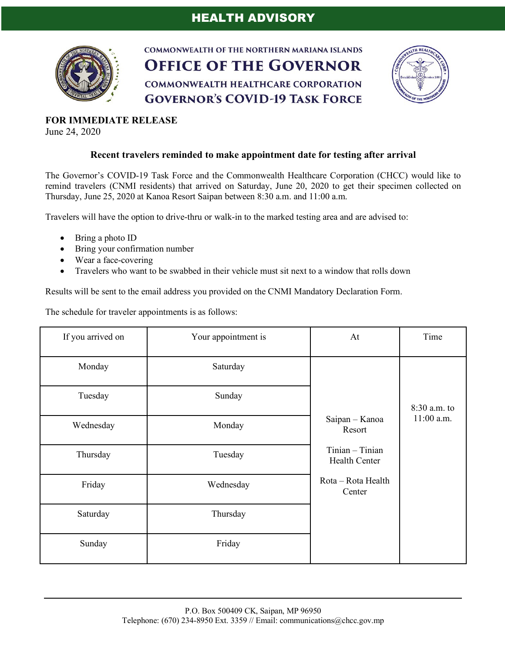## HEALTH ADVISORY



**COMMONWEALTH OF THE NORTHERN MARIANA ISLANDS OFFICE OF THE GOVERNOR COMMONWEALTH HEALTHCARE CORPORATION GOVERNOR'S COVID-19 TASK FORCE** 



**FOR IMMEDIATE RELEASE**

June 24, 2020

## **Recent travelers reminded to make appointment date for testing after arrival**

The Governor's COVID-19 Task Force and the Commonwealth Healthcare Corporation (CHCC) would like to remind travelers (CNMI residents) that arrived on Saturday, June 20, 2020 to get their specimen collected on Thursday, June 25, 2020 at Kanoa Resort Saipan between 8:30 a.m. and 11:00 a.m.

Travelers will have the option to drive-thru or walk-in to the marked testing area and are advised to:

- Bring a photo ID
- Bring your confirmation number
- Wear a face-covering
- Travelers who want to be swabbed in their vehicle must sit next to a window that rolls down

Results will be sent to the email address you provided on the CNMI Mandatory Declaration Form.

The schedule for traveler appointments is as follows:

| If you arrived on | Your appointment is | At                               | Time         |
|-------------------|---------------------|----------------------------------|--------------|
| Monday            | Saturday            |                                  |              |
| Tuesday           | Sunday              |                                  | 8:30 a.m. to |
| Wednesday         | Monday              | Saipan - Kanoa<br>Resort         | 11:00 a.m.   |
| Thursday          | Tuesday             | Tinian - Tinian<br>Health Center |              |
| Friday            | Wednesday           | Rota - Rota Health<br>Center     |              |
| Saturday          | Thursday            |                                  |              |
| Sunday            | Friday              |                                  |              |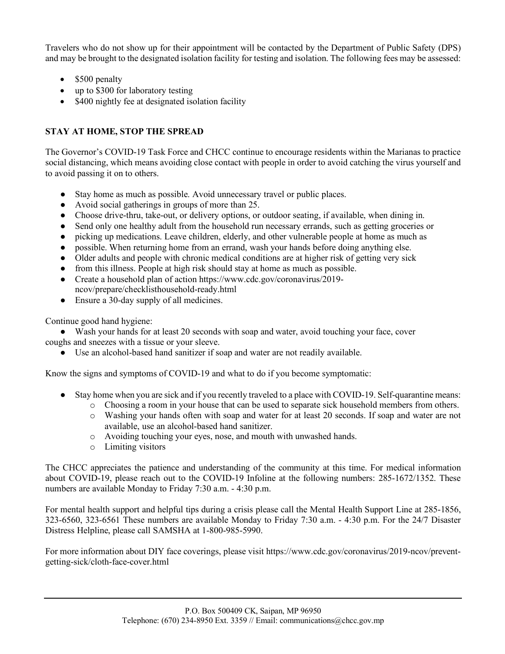Travelers who do not show up for their appointment will be contacted by the Department of Public Safety (DPS) and may be brought to the designated isolation facility for testing and isolation. The following fees may be assessed:

- \$500 penalty
- up to \$300 for laboratory testing
- \$400 nightly fee at designated isolation facility

## **STAY AT HOME, STOP THE SPREAD**

The Governor's COVID-19 Task Force and CHCC continue to encourage residents within the Marianas to practice social distancing, which means avoiding close contact with people in order to avoid catching the virus yourself and to avoid passing it on to others.

- Stay home as much as possible. Avoid unnecessary travel or public places.
- Avoid social gatherings in groups of more than 25.
- Choose drive-thru, take-out, or delivery options, or outdoor seating, if available, when dining in.
- Send only one healthy adult from the household run necessary errands, such as getting groceries or
- picking up medications. Leave children, elderly, and other vulnerable people at home as much as
- possible. When returning home from an errand, wash your hands before doing anything else.
- Older adults and people with chronic medical conditions are at higher risk of getting very sick
- from this illness. People at high risk should stay at home as much as possible.
- Create a household plan of action https://www.cdc.gov/coronavirus/2019ncov/prepare/checklisthousehold-ready.html
- Ensure a 30-day supply of all medicines.

Continue good hand hygiene:

● Wash your hands for at least 20 seconds with soap and water, avoid touching your face, cover coughs and sneezes with a tissue or your sleeve.

● Use an alcohol-based hand sanitizer if soap and water are not readily available.

Know the signs and symptoms of COVID-19 and what to do if you become symptomatic:

- Stay home when you are sick and if you recently traveled to a place with COVID-19. Self-quarantine means:
	- o Choosing a room in your house that can be used to separate sick household members from others.
	- o Washing your hands often with soap and water for at least 20 seconds. If soap and water are not available, use an alcohol-based hand sanitizer.
	- o Avoiding touching your eyes, nose, and mouth with unwashed hands.
	- o Limiting visitors

The CHCC appreciates the patience and understanding of the community at this time. For medical information about COVID-19, please reach out to the COVID-19 Infoline at the following numbers: 285-1672/1352. These numbers are available Monday to Friday 7:30 a.m. - 4:30 p.m.

For mental health support and helpful tips during a crisis please call the Mental Health Support Line at 285-1856, 323-6560, 323-6561 These numbers are available Monday to Friday 7:30 a.m. - 4:30 p.m. For the 24/7 Disaster Distress Helpline, please call SAMSHA at 1-800-985-5990.

For more information about DIY face coverings, please visit https://www.cdc.gov/coronavirus/2019-ncov/preventgetting-sick/cloth-face-cover.html